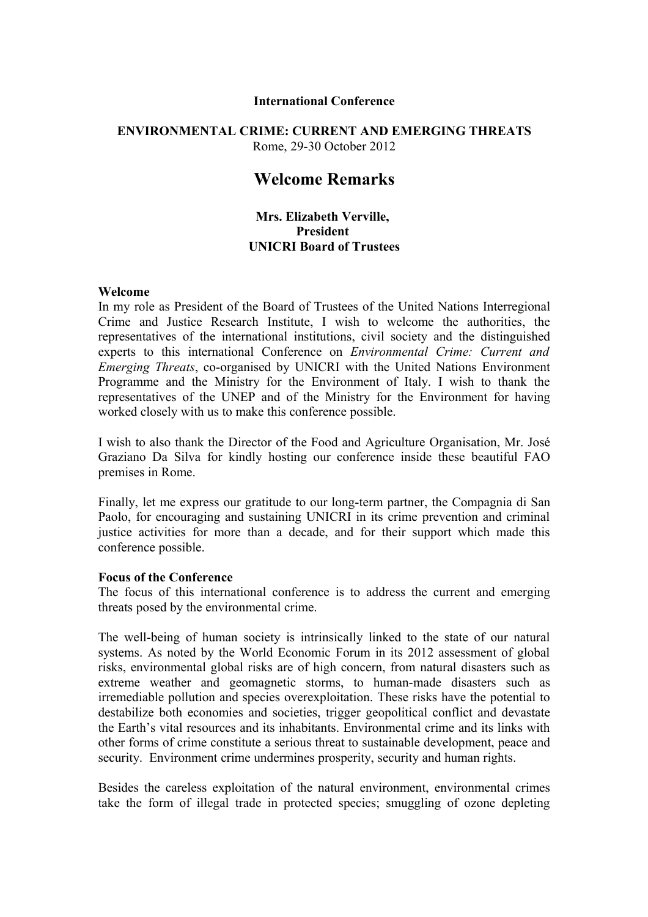#### **International Conference**

## **ENVIRONMENTAL CRIME: CURRENT AND EMERGING THREATS** Rome, 29-30 October 2012

# **Welcome Remarks**

## **Mrs. Elizabeth Verville, President UNICRI Board of Trustees**

#### **Welcome**

In my role as President of the Board of Trustees of the United Nations Interregional Crime and Justice Research Institute, I wish to welcome the authorities, the representatives of the international institutions, civil society and the distinguished experts to this international Conference on *Environmental Crime: Current and Emerging Threats*, co-organised by UNICRI with the United Nations Environment Programme and the Ministry for the Environment of Italy. I wish to thank the representatives of the UNEP and of the Ministry for the Environment for having worked closely with us to make this conference possible.

I wish to also thank the Director of the Food and Agriculture Organisation, Mr. José Graziano Da Silva for kindly hosting our conference inside these beautiful FAO premises in Rome.

Finally, let me express our gratitude to our long-term partner, the Compagnia di San Paolo, for encouraging and sustaining UNICRI in its crime prevention and criminal justice activities for more than a decade, and for their support which made this conference possible.

#### **Focus of the Conference**

The focus of this international conference is to address the current and emerging threats posed by the environmental crime.

The well-being of human society is intrinsically linked to the state of our natural systems. As noted by the World Economic Forum in its 2012 assessment of global risks, environmental global risks are of high concern, from natural disasters such as extreme weather and geomagnetic storms, to human-made disasters such as irremediable pollution and species overexploitation. These risks have the potential to destabilize both economies and societies, trigger geopolitical conflict and devastate the Earth's vital resources and its inhabitants. Environmental crime and its links with other forms of crime constitute a serious threat to sustainable development, peace and security. Environment crime undermines prosperity, security and human rights.

Besides the careless exploitation of the natural environment, environmental crimes take the form of illegal trade in protected species; smuggling of ozone depleting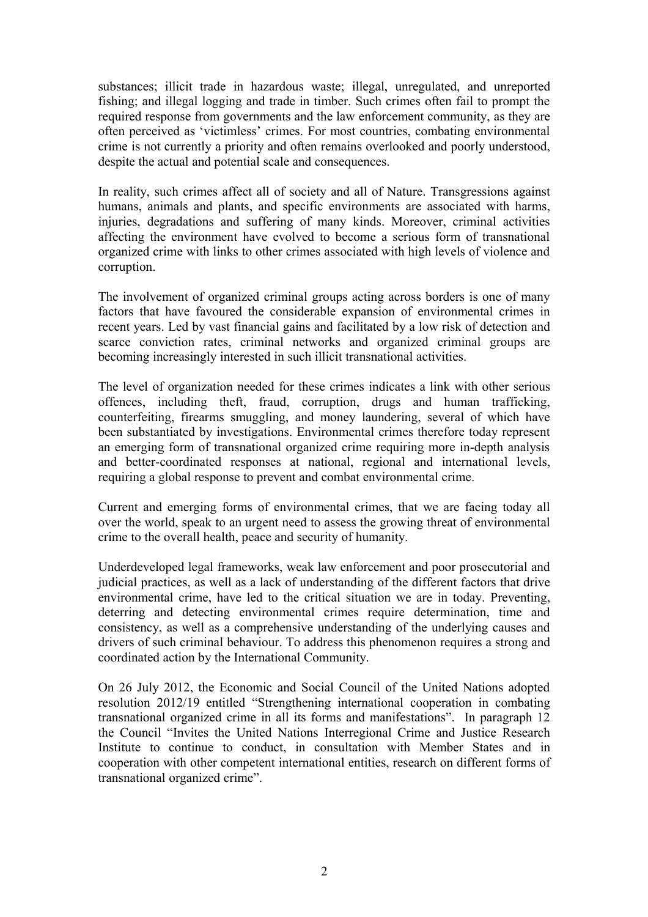substances; illicit trade in hazardous waste; illegal, unregulated, and unreported fishing; and illegal logging and trade in timber. Such crimes often fail to prompt the required response from governments and the law enforcement community, as they are often perceived as 'victimless' crimes. For most countries, combating environmental crime is not currently a priority and often remains overlooked and poorly understood, despite the actual and potential scale and consequences.

In reality, such crimes affect all of society and all of Nature. Transgressions against humans, animals and plants, and specific environments are associated with harms, injuries, degradations and suffering of many kinds. Moreover, criminal activities affecting the environment have evolved to become a serious form of transnational organized crime with links to other crimes associated with high levels of violence and corruption.

The involvement of organized criminal groups acting across borders is one of many factors that have favoured the considerable expansion of environmental crimes in recent years. Led by vast financial gains and facilitated by a low risk of detection and scarce conviction rates, criminal networks and organized criminal groups are becoming increasingly interested in such illicit transnational activities.

The level of organization needed for these crimes indicates a link with other serious offences, including theft, fraud, corruption, drugs and human trafficking, counterfeiting, firearms smuggling, and money laundering, several of which have been substantiated by investigations. Environmental crimes therefore today represent an emerging form of transnational organized crime requiring more in-depth analysis and better-coordinated responses at national, regional and international levels, requiring a global response to prevent and combat environmental crime.

Current and emerging forms of environmental crimes, that we are facing today all over the world, speak to an urgent need to assess the growing threat of environmental crime to the overall health, peace and security of humanity.

Underdeveloped legal frameworks, weak law enforcement and poor prosecutorial and judicial practices, as well as a lack of understanding of the different factors that drive environmental crime, have led to the critical situation we are in today. Preventing, deterring and detecting environmental crimes require determination, time and consistency, as well as a comprehensive understanding of the underlying causes and drivers of such criminal behaviour. To address this phenomenon requires a strong and coordinated action by the International Community.

On 26 July 2012, the Economic and Social Council of the United Nations adopted resolution 2012/19 entitled "Strengthening international cooperation in combating transnational organized crime in all its forms and manifestations". In paragraph 12 the Council "Invites the United Nations Interregional Crime and Justice Research Institute to continue to conduct, in consultation with Member States and in cooperation with other competent international entities, research on different forms of transnational organized crime".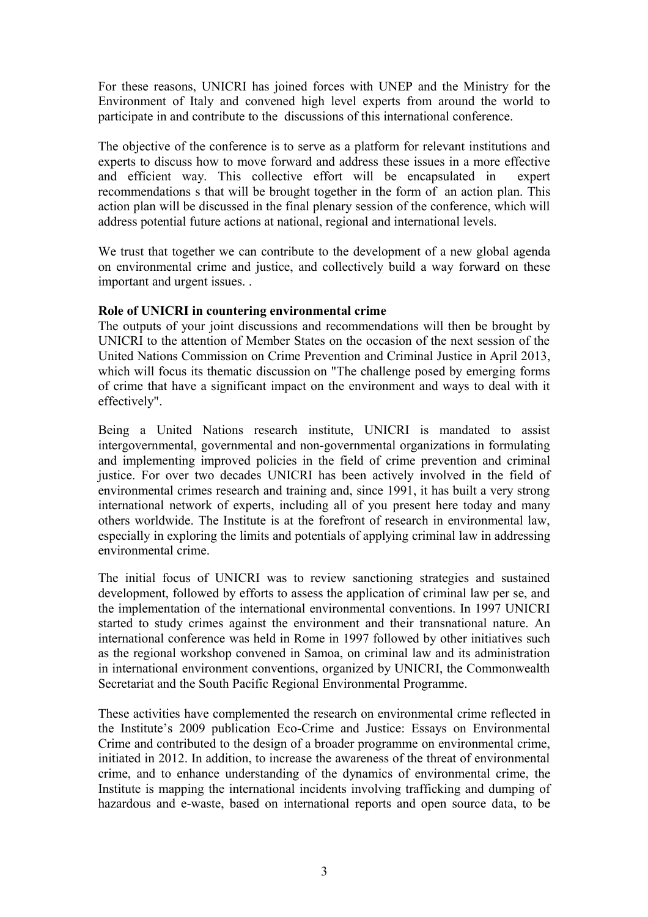For these reasons, UNICRI has joined forces with UNEP and the Ministry for the Environment of Italy and convened high level experts from around the world to participate in and contribute to the discussions of this international conference.

The objective of the conference is to serve as a platform for relevant institutions and experts to discuss how to move forward and address these issues in a more effective and efficient way. This collective effort will be encapsulated in expert recommendations s that will be brought together in the form of an action plan. This action plan will be discussed in the final plenary session of the conference, which will address potential future actions at national, regional and international levels.

We trust that together we can contribute to the development of a new global agenda on environmental crime and justice, and collectively build a way forward on these important and urgent issues. .

### **Role of UNICRI in countering environmental crime**

The outputs of your joint discussions and recommendations will then be brought by UNICRI to the attention of Member States on the occasion of the next session of the United Nations Commission on Crime Prevention and Criminal Justice in April 2013, which will focus its thematic discussion on "The challenge posed by emerging forms of crime that have a significant impact on the environment and ways to deal with it effectively".

Being a United Nations research institute, UNICRI is mandated to assist intergovernmental, governmental and non-governmental organizations in formulating and implementing improved policies in the field of crime prevention and criminal justice. For over two decades UNICRI has been actively involved in the field of environmental crimes research and training and, since 1991, it has built a very strong international network of experts, including all of you present here today and many others worldwide. The Institute is at the forefront of research in environmental law, especially in exploring the limits and potentials of applying criminal law in addressing environmental crime.

The initial focus of UNICRI was to review sanctioning strategies and sustained development, followed by efforts to assess the application of criminal law per se, and the implementation of the international environmental conventions. In 1997 UNICRI started to study crimes against the environment and their transnational nature. An international conference was held in Rome in 1997 followed by other initiatives such as the regional workshop convened in Samoa, on criminal law and its administration in international environment conventions, organized by UNICRI, the Commonwealth Secretariat and the South Pacific Regional Environmental Programme.

These activities have complemented the research on environmental crime reflected in the Institute's 2009 publication Eco-Crime and Justice: Essays on Environmental Crime and contributed to the design of a broader programme on environmental crime, initiated in 2012. In addition, to increase the awareness of the threat of environmental crime, and to enhance understanding of the dynamics of environmental crime, the Institute is mapping the international incidents involving trafficking and dumping of hazardous and e-waste, based on international reports and open source data, to be